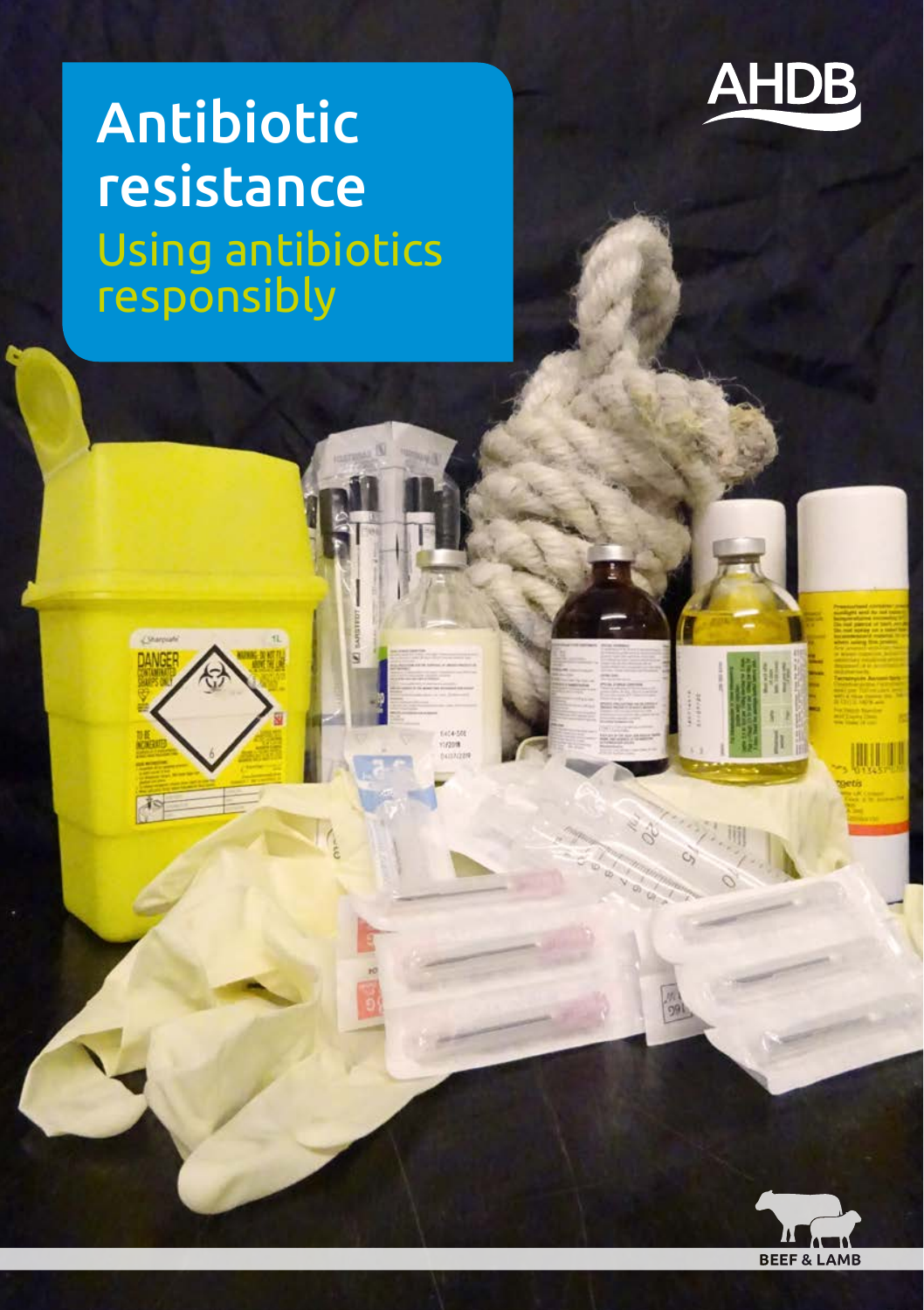

# Antibiotic resistance Using antibiotics responsibly

 $\sqrt{8}$ 

ingen



顺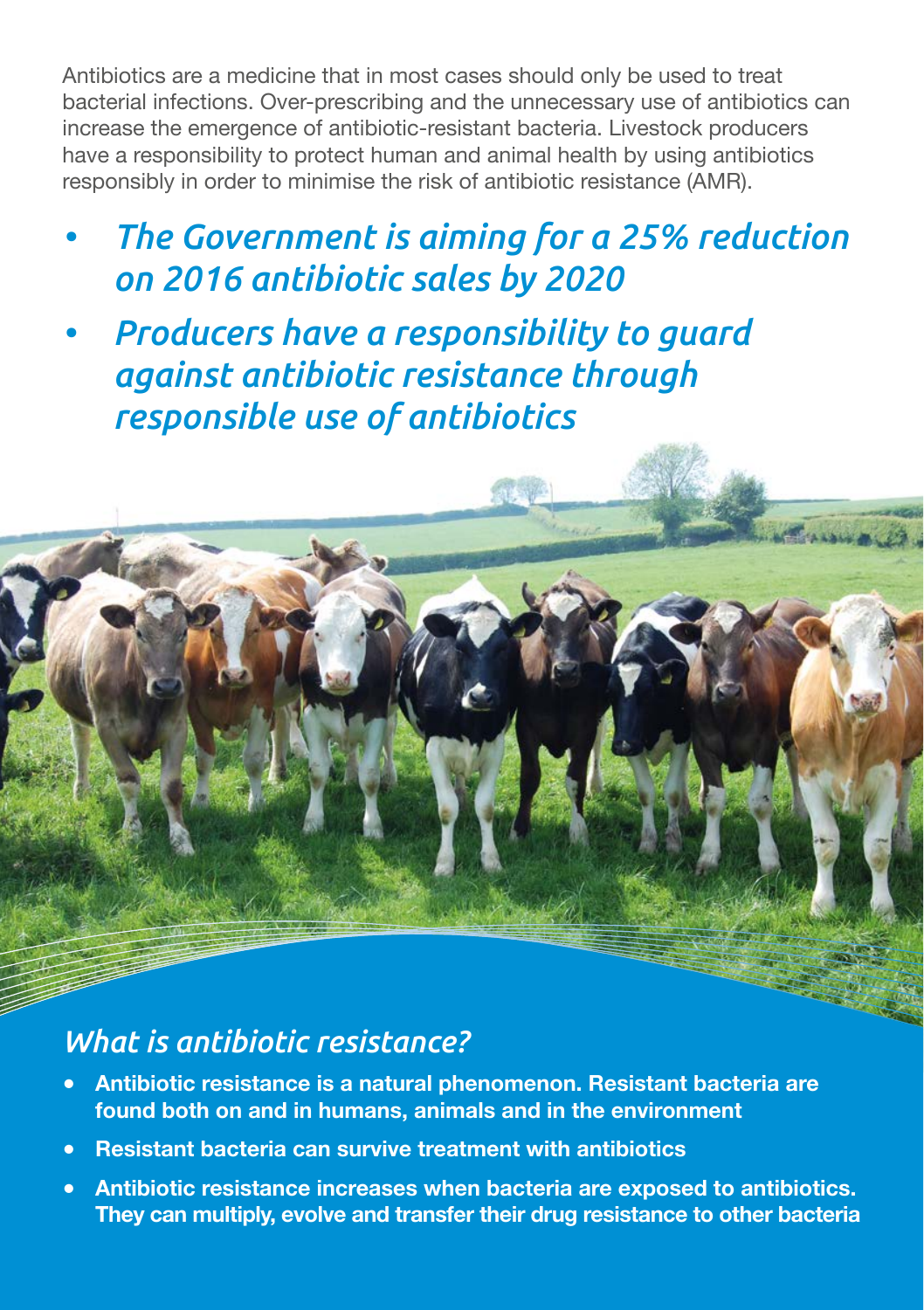Antibiotics are a medicine that in most cases should only be used to treat bacterial infections. Over-prescribing and the unnecessary use of antibiotics can increase the emergence of antibiotic-resistant bacteria. Livestock producers have a responsibility to protect human and animal health by using antibiotics responsibly in order to minimise the risk of antibiotic resistance (AMR).

*• The Government is aiming for a 25% reduction on 2016 antibiotic sales by 2020*

**Allen Comments** 

*• Producers have a responsibility to guard against antibiotic resistance through responsible use of antibiotics*

### *What is antibiotic resistance?*

- **Antibiotic resistance is a natural phenomenon. Resistant bacteria are found both on and in humans, animals and in the environment**
- **Resistant bacteria can survive treatment with antibiotics**
- **Antibiotic resistance increases when bacteria are exposed to antibiotics. They can multiply, evolve and transfer their drug resistance to other bacteria**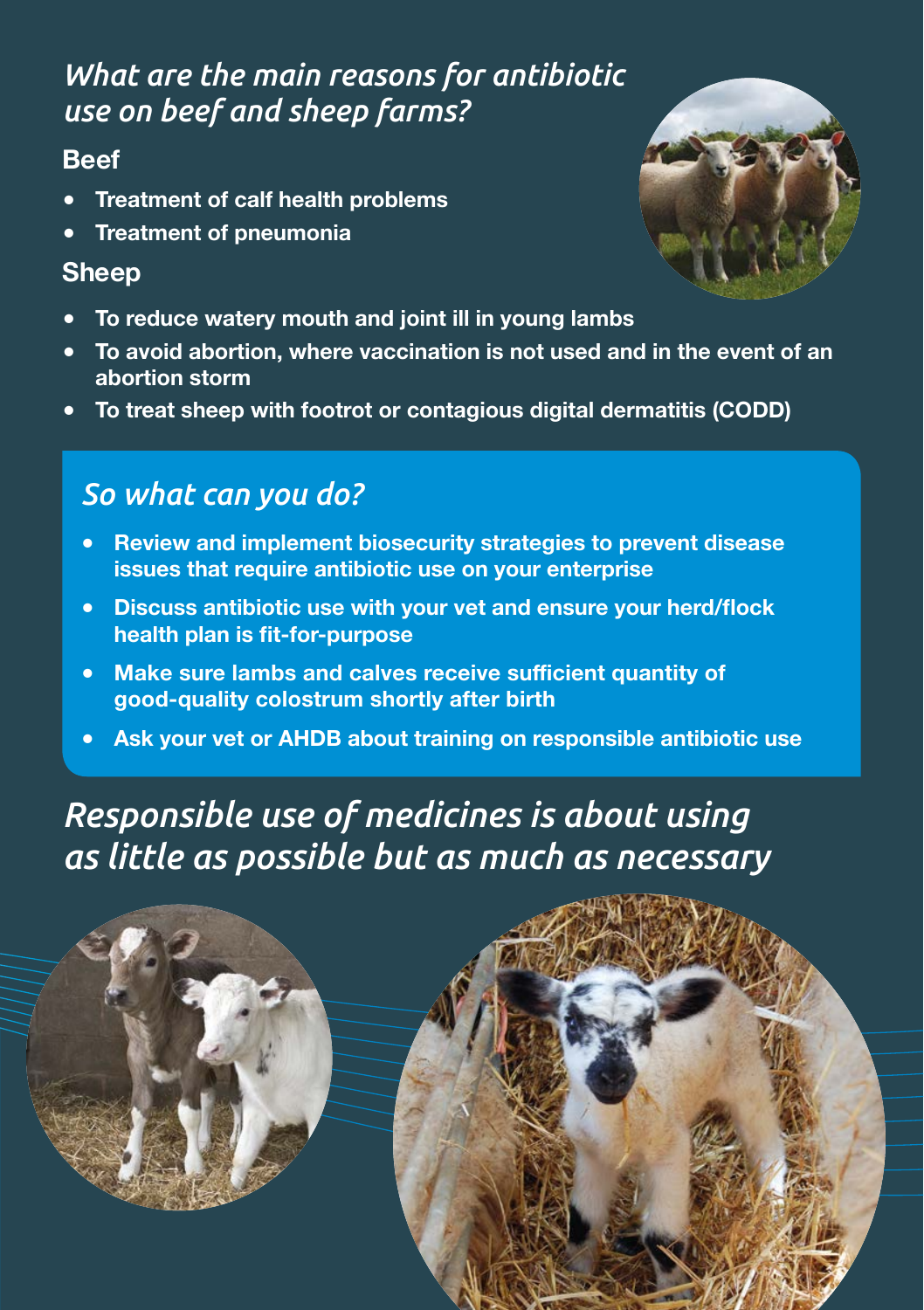### *What are the main reasons for antibiotic use on beef and sheep farms?*

### **Beef**

- **Treatment of calf health problems**
- **Treatment of pneumonia**

#### **Sheep**

- **To reduce watery mouth and joint ill in young lambs**
- **To avoid abortion, where vaccination is not used and in the event of an abortion storm**
- **To treat sheep with footrot or contagious digital dermatitis (CODD)**

## *So what can you do?*

- **Review and implement biosecurity strategies to prevent disease issues that require antibiotic use on your enterprise**
- **Discuss antibiotic use with your vet and ensure your herd/flock health plan is fit-for-purpose**
- **Make sure lambs and calves receive sufficient quantity of good-quality colostrum shortly after birth**
- Ask your vet or AHDB about training on responsible antibiotic use

# *Responsible use of medicines is about using as little as possible but as much as necessary*